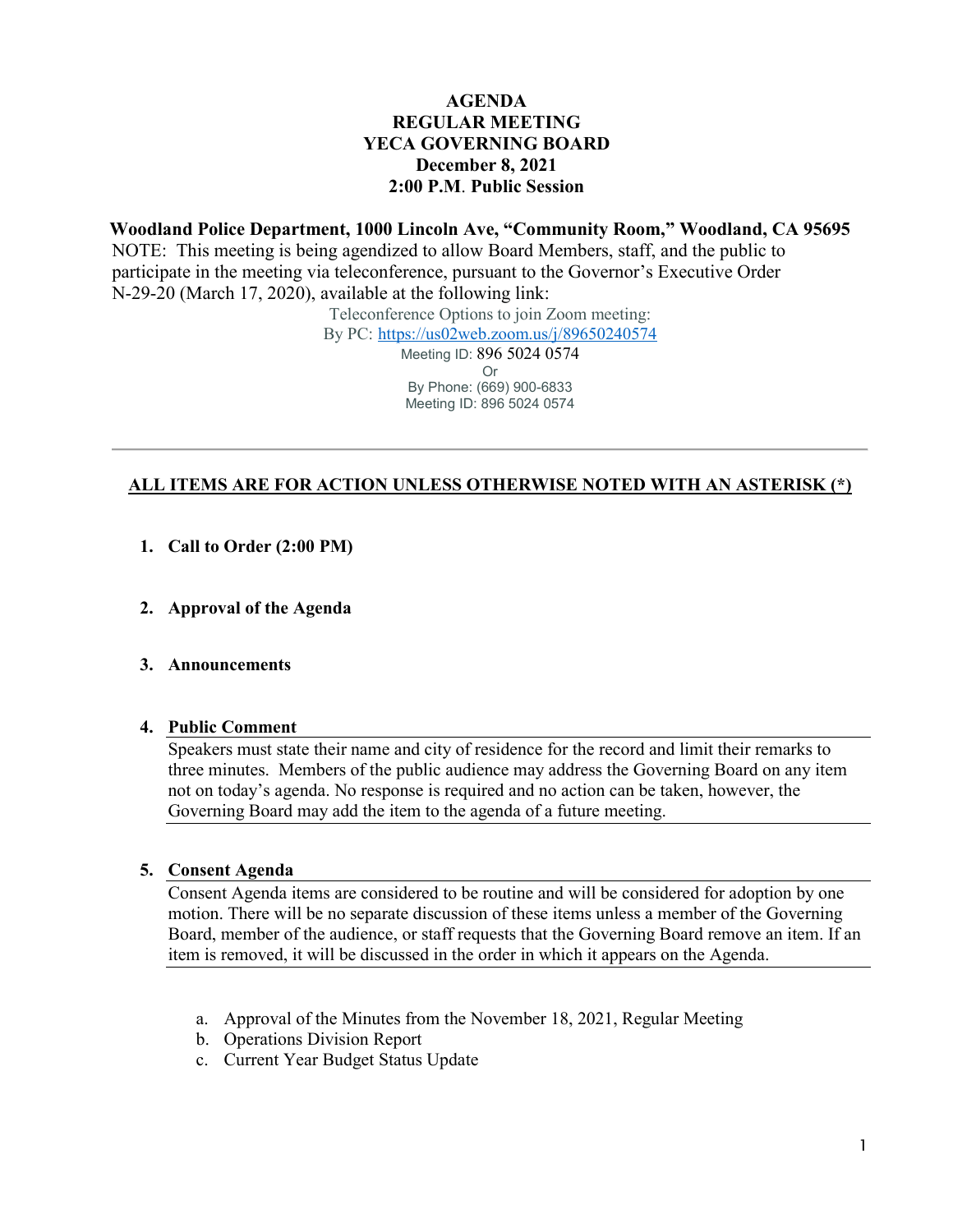## **AGENDA REGULAR MEETING YECA GOVERNING BOARD December 8, 2021 2:00 P.M**. **Public Session**

**Woodland Police Department, 1000 Lincoln Ave, "Community Room," Woodland, CA 95695** NOTE: This meeting is being agendized to allow Board Members, staff, and the public to participate in the meeting via teleconference, pursuant to the Governor's Executive Order N-29-20 (March 17, 2020), available at the following link:

Teleconference Options to join Zoom meeting:

By PC: <https://us02web.zoom.us/j/89650240574>

Meeting ID: 896 5024 0574 Or By Phone: (669) 900-6833 Meeting ID: 896 5024 0574

#### **ALL ITEMS ARE FOR ACTION UNLESS OTHERWISE NOTED WITH AN ASTERISK (\*)**

- **1. Call to Order (2:00 PM)**
- **2. Approval of the Agenda**
- **3. Announcements**

#### **4. Public Comment**

Speakers must state their name and city of residence for the record and limit their remarks to three minutes. Members of the public audience may address the Governing Board on any item not on today's agenda. No response is required and no action can be taken, however, the Governing Board may add the item to the agenda of a future meeting.

#### **5. Consent Agenda**

Consent Agenda items are considered to be routine and will be considered for adoption by one motion. There will be no separate discussion of these items unless a member of the Governing Board, member of the audience, or staff requests that the Governing Board remove an item. If an item is removed, it will be discussed in the order in which it appears on the Agenda.

- a. Approval of the Minutes from the November 18, 2021, Regular Meeting
- b. Operations Division Report
- c. Current Year Budget Status Update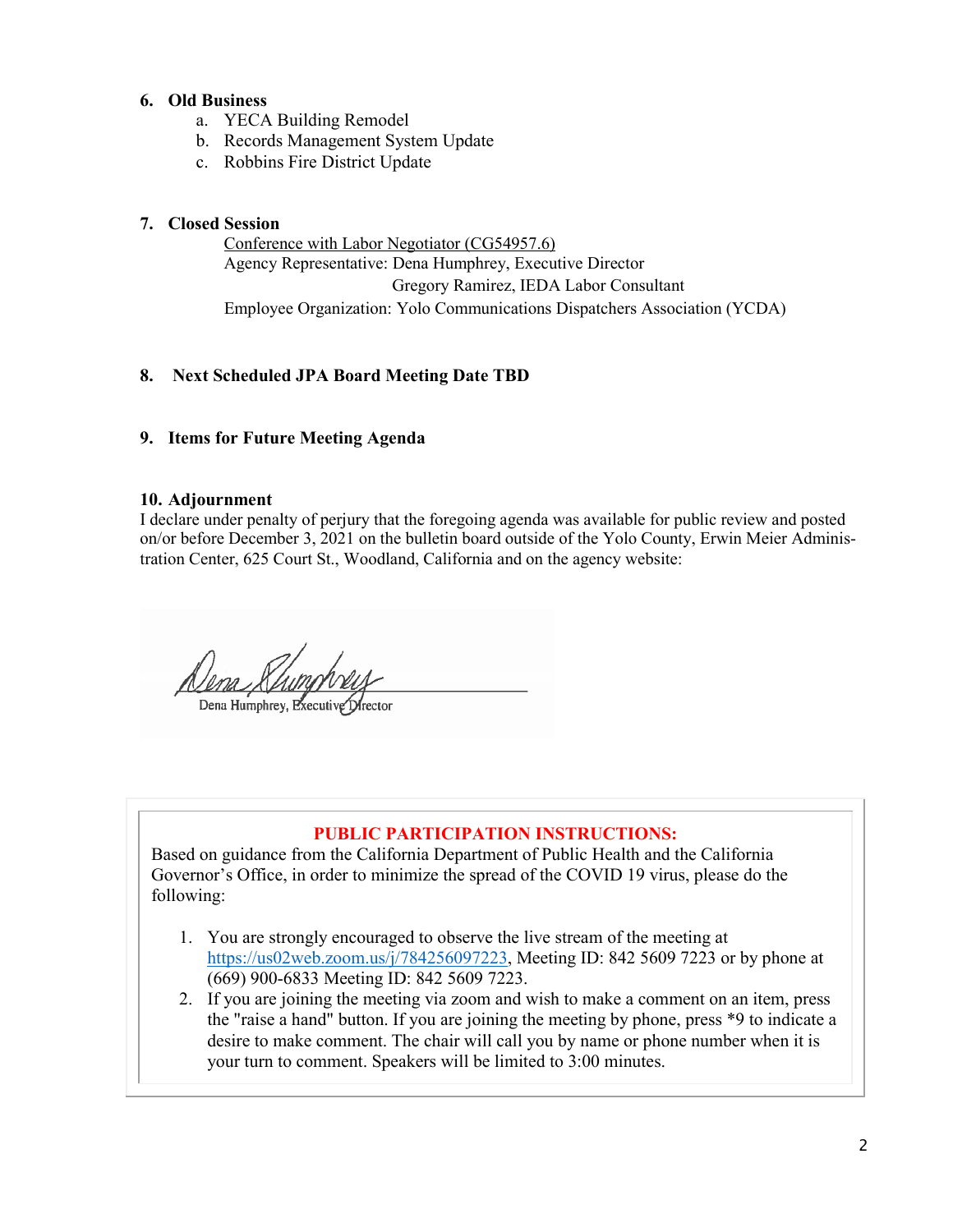## **6. Old Business**

- a. YECA Building Remodel
- b. Records Management System Update
- c. Robbins Fire District Update

## **7. Closed Session**

Conference with Labor Negotiator (CG54957.6) Agency Representative: Dena Humphrey, Executive Director Gregory Ramirez, IEDA Labor Consultant Employee Organization: Yolo Communications Dispatchers Association (YCDA)

# **8. Next Scheduled JPA Board Meeting Date TBD**

#### **9. Items for Future Meeting Agenda**

#### **10. Adjournment**

I declare under penalty of perjury that the foregoing agenda was available for public review and posted on/or before December 3, 2021 on the bulletin board outside of the Yolo County, Erwin Meier Administration Center, 625 Court St., Woodland, California and on the agency website:

<u> *()<br>Dena Mumphrey, Executive Stre*</u>

# **PUBLIC PARTICIPATION INSTRUCTIONS:**

Based on guidance from the California Department of Public Health and the California Governor's Office, in order to minimize the spread of the COVID 19 virus, please do the following:

- 1. You are strongly encouraged to observe the live stream of the meeting at [https://us02web.zoom.us/j/784256097223,](https://us02web.zoom.us/j/784256097223) Meeting ID: 842 5609 7223 or by phone at (669) 900-6833 Meeting ID: 842 5609 7223.
- 2. If you are joining the meeting via zoom and wish to make a comment on an item, press the "raise a hand" button. If you are joining the meeting by phone, press \*9 to indicate a desire to make comment. The chair will call you by name or phone number when it is your turn to comment. Speakers will be limited to 3:00 minutes.